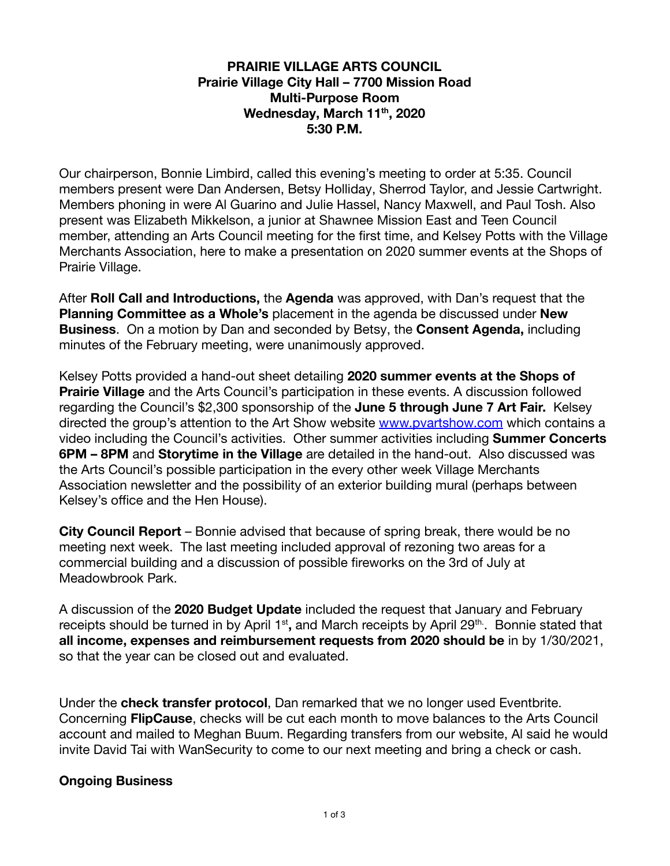## **PRAIRIE VILLAGE ARTS COUNCIL Prairie Village City Hall – 7700 Mission Road Multi-Purpose Room Wednesday, March 11 th , 2020 5:30 P.M.**

Our chairperson, Bonnie Limbird, called this evening's meeting to order at 5:35. Council members present were Dan Andersen, Betsy Holliday, Sherrod Taylor, and Jessie Cartwright. Members phoning in were Al Guarino and Julie Hassel, Nancy Maxwell, and Paul Tosh. Also present was Elizabeth Mikkelson, a junior at Shawnee Mission East and Teen Council member, attending an Arts Council meeting for the first time, and Kelsey Potts with the Village Merchants Association, here to make a presentation on 2020 summer events at the Shops of Prairie Village.

After **Roll Call and Introductions,** the **Agenda** was approved, with Dan's request that the **Planning Committee as a Whole's** placement in the agenda be discussed under **New Business** . On a motion by Dan and seconded by Betsy, the **Consent Agenda,** including minutes of the February meeting, were unanimously approved.

Kelsey Potts provided a hand-out sheet detailing **2020 summer events at the Shops of Prairie Village** and the Arts Council's participation in these events. A discussion followed regarding the Council's \$2,300 sponsorship of the **June 5 through June 7 Art Fair.** Kelsey directed the group's attention to the Art Show website [www.pvartshow.com](http://www.pvartshow.com/) which contains a video including the Council's activities. Other summer activities including **Summer Concerts 6PM – 8PM** and **Storytime in the Village** are detailed in the hand-out. Also discussed was the Arts Council's possible participation in the every other week Village Merchants Association newsletter and the possibility of an exterior building mural (perhaps between Kelsey's office and the Hen House).

**City Council Report** – Bonnie advised that because of spring break, there would be no meeting next week. The last meeting included approval of rezoning two areas for a commercial building and a discussion of possible fireworks on the 3rd of July at Meadowbrook Park.

A discussion of the **2020 Budget Update** included the request that January and February receipts should be turned in by April 1<sup>st</sup>, and March receipts by April 29<sup>th.</sup>. Bonnie stated that **all income, expenses and reimbursement requests from 2020 should be** in by 1/30/2021, so that the year can be closed out and evaluated.

Under the **check transfer protocol**, Dan remarked that we no longer used Eventbrite. Concerning **FlipCause** , checks will be cut each month to move balances to the Arts Council account and mailed to Meghan Buum. Regarding transfers from our website, Al said he would invite David Tai with WanSecurity to come to our next meeting and bring a check or cash.

## **Ongoing Business**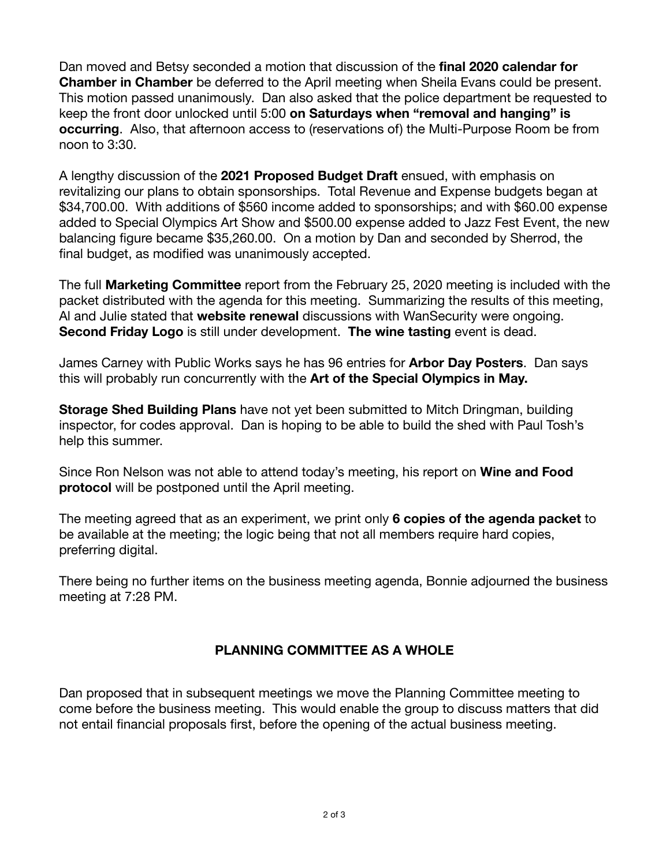Dan moved and Betsy seconded a motion that discussion of the **final 2020 calendar for Chamber in Chamber** be deferred to the April meeting when Sheila Evans could be present. This motion passed unanimously. Dan also asked that the police department be requested to keep the front door unlocked until 5:00 **on Saturdays when "removal and hanging" is occurring**. Also, that afternoon access to (reservations of) the Multi-Purpose Room be from noon to 3:30.

A lengthy discussion of the **2021 Proposed Budget Draft** ensued, with emphasis on revitalizing our plans to obtain sponsorships. Total Revenue and Expense budgets began at \$34,700.00. With additions of \$560 income added to sponsorships; and with \$60.00 expense added to Special Olympics Art Show and \$500.00 expense added to Jazz Fest Event, the new balancing figure became \$35,260.00. On a motion by Dan and seconded by Sherrod, the final budget, as modified was unanimously accepted.

The full **Marketing Committee** report from the February 25, 2020 meeting is included with the packet distributed with the agenda for this meeting. Summarizing the results of this meeting, Al and Julie stated that **website renewal** discussions with WanSecurity were ongoing. **Second Friday Logo** is still under development. **The wine tasting** event is dead.

James Carney with Public Works says he has 96 entries for **Arbor Day Posters** . Dan says this will probably run concurrently with the **Art of the Special Olympics in May.** 

**Storage Shed Building Plans** have not yet been submitted to Mitch Dringman, building inspector, for codes approval. Dan is hoping to be able to build the shed with Paul Tosh's help this summer.

Since Ron Nelson was not able to attend today's meeting, his report on **Wine and Food protocol** will be postponed until the April meeting.

The meeting agreed that as an experiment, we print only **6 copies of the agenda packet** to be available at the meeting; the logic being that not all members require hard copies, preferring digital.

There being no further items on the business meeting agenda, Bonnie adjourned the business meeting at 7:28 PM.

## **PLANNING COMMITTEE AS A WHOLE**

Dan proposed that in subsequent meetings we move the Planning Committee meeting to come before the business meeting. This would enable the group to discuss matters that did not entail financial proposals first, before the opening of the actual business meeting.